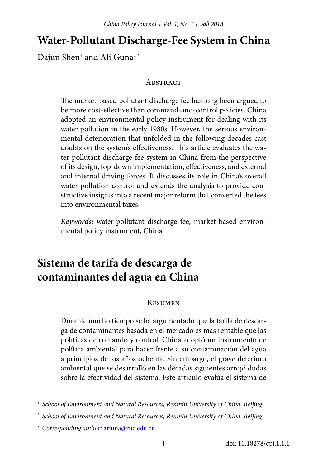# **Water-Pollutant Discharge-Fee System in China**

Dajun Shen $^{\scriptscriptstyle 1}$  and Ali Guna $^{\scriptscriptstyle 2^{\ast}}$ 

#### **ABSTRACT**

The market-based pollutant discharge fee has long been argued to be more cost-effective than command-and-control policies. China adopted an environmental policy instrument for dealing with its water pollution in the early 1980s. However, the serious environmental deterioration that unfolded in the following decades cast doubts on the system's effectiveness. This article evaluates the water-pollutant discharge-fee system in China from the perspective of its design, top-down implementation, effectiveness, and external and internal driving forces. It discusses its role in China's overall water-pollution control and extends the analysis to provide constructive insights into a recent major reform that converted the fees into environmental taxes.

*Keywords:* water-pollutant discharge fee, market-based environmental policy instrument, China

# **Sistema de tarifa de descarga de contaminantes del agua en China**

#### Resumen

Durante mucho tiempo se ha argumentado que la tarifa de descarga de contaminantes basada en el mercado es más rentable que las políticas de comando y control. China adoptó un instrumento de política ambiental para hacer frente a su contaminación del agua a principios de los años ochenta. Sin embargo, el grave deterioro ambiental que se desarrolló en las décadas siguientes arrojó dudas sobre la efectividad del sistema. Este artículo evalúa el sistema de

<sup>1</sup>*School of Environment and Natural Resources, Renmin University of China, Beijing*

<sup>2</sup>*School of Environment and Natural Resources, Renmin University of China, Beijing*

*<sup>\*</sup> Corresponding author:* [ariuna@ruc.edu.cn](mailto:ariuna%40ruc.edu.cn?subject=)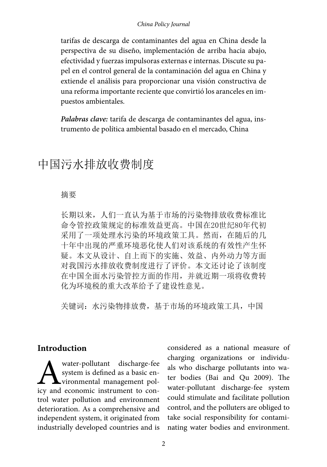#### *China Policy Journal*

tarifas de descarga de contaminantes del agua en China desde la perspectiva de su diseño, implementación de arriba hacia abajo, efectividad y fuerzas impulsoras externas e internas. Discute su papel en el control general de la contaminación del agua en China y extiende el análisis para proporcionar una visión constructiva de una reforma importante reciente que convirtió los aranceles en impuestos ambientales.

*Palabras clave:* tarifa de descarga de contaminantes del agua, instrumento de política ambiental basado en el mercado, China

# 中国污水排放收费制度

#### 摘要

长期以来,人们一直认为基于市场的污染物排放收费标准比 命令管控政策规定的标准效益更高。中国在20世纪80年代初 采用了一项处理水污染的环境政策工具。然而,在随后的几 十年中出现的严重环境恶化使人们对该系统的有效性产生怀 疑。本文从设计、自上而下的实施、效益、内外动力等方面 对我国污水排放收费制度进行了评价。本文还讨论了该制度 在中国全面水污染管控方面的作用,并就近期一项将收费转 化为环境税的重大改革给予了建设性意见。

关键词: 水污染物排放费, 基于市场的环境政策工具, 中国

#### **Introduction**

Water-pollutant discharge-fee<br>system is defined as a basic en-<br>icy and economic instrument to consystem is defined as a basic environmental management policy and economic instrument to control water pollution and environment deterioration. As a comprehensive and independent system, it originated from industrially developed countries and is

considered as a national measure of charging organizations or individuals who discharge pollutants into water bodies (Bai and Qu 2009). The water-pollutant discharge-fee system could stimulate and facilitate pollution control, and the polluters are obliged to take social responsibility for contaminating water bodies and environment.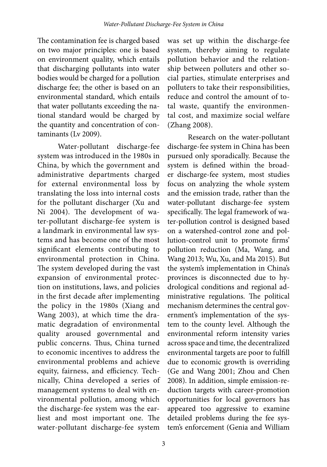The contamination fee is charged based on two major principles: one is based on environment quality, which entails that discharging pollutants into water bodies would be charged for a pollution discharge fee; the other is based on an environmental standard, which entails that water pollutants exceeding the national standard would be charged by the quantity and concentration of contaminants (Lv 2009).

Water-pollutant discharge-fee system was introduced in the 1980s in China, by which the government and administrative departments charged for external environmental loss by translating the loss into internal costs for the pollutant discharger (Xu and Ni 2004). The development of water-pollutant discharge-fee system is a landmark in environmental law systems and has become one of the most significant elements contributing to environmental protection in China. The system developed during the vast expansion of environmental protection on institutions, laws, and policies in the first decade after implementing the policy in the 1980s (Xiang and Wang 2003), at which time the dramatic degradation of environmental quality aroused governmental and public concerns. Thus, China turned to economic incentives to address the environmental problems and achieve equity, fairness, and efficiency. Technically, China developed a series of management systems to deal with environmental pollution, among which the discharge-fee system was the earliest and most important one. The water-pollutant discharge-fee system

was set up within the discharge-fee system, thereby aiming to regulate pollution behavior and the relationship between polluters and other social parties, stimulate enterprises and polluters to take their responsibilities, reduce and control the amount of total waste, quantify the environmental cost, and maximize social welfare (Zhang 2008).

Research on the water-pollutant discharge-fee system in China has been pursued only sporadically. Because the system is defined within the broader discharge-fee system, most studies focus on analyzing the whole system and the emission trade, rather than the water-pollutant discharge-fee system specifically. The legal framework of water-pollution control is designed based on a watershed-control zone and pollution-control unit to promote firms' pollution reduction (Ma, Wang, and Wang 2013; Wu, Xu, and Ma 2015). But the system's implementation in China's provinces is disconnected due to hydrological conditions and regional administrative regulations. The political mechanism determines the central government's implementation of the system to the county level. Although the environmental reform intensity varies across space and time, the decentralized environmental targets are poor to fulfill due to economic growth is overriding (Ge and Wang 2001; Zhou and Chen 2008). In addition, simple emission-reduction targets with career-promotion opportunities for local governors has appeared too aggressive to examine detailed problems during the fee system's enforcement (Genia and William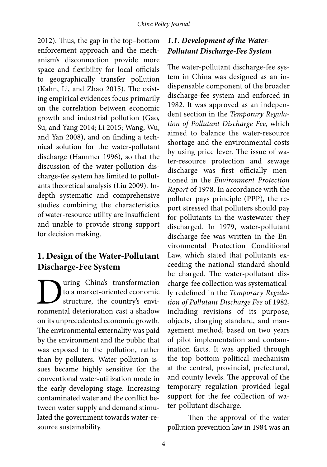2012). Thus, the gap in the top–bottom enforcement approach and the mechanism's disconnection provide more space and flexibility for local officials to geographically transfer pollution (Kahn, Li, and Zhao 2015). The existing empirical evidences focus primarily on the correlation between economic growth and industrial pollution (Gao, Su, and Yang 2014; Li 2015; Wang, Wu, and Yan 2008), and on finding a technical solution for the water-pollutant discharge (Hammer 1996), so that the discussion of the water-pollution discharge-fee system has limited to pollutants theoretical analysis (Liu 2009). Indepth systematic and comprehensive studies combining the characteristics of water-resource utility are insufficient and unable to provide strong support for decision making.

# **1. Design of the Water-Pollutant Discharge-Fee System**

Ultimation to a market-oriented economic<br>structure, the country's environmental deterioration cast a shadow to a market-oriented economic structure, the country's environmental deterioration cast a shadow on its unprecedented economic growth. The environmental externality was paid by the environment and the public that was exposed to the pollution, rather than by polluters. Water pollution issues became highly sensitive for the conventional water-utilization mode in the early developing stage. Increasing contaminated water and the conflict between water supply and demand stimulated the government towards water-resource sustainability.

# *1.1. Development of the Water-Pollutant Discharge-Fee System*

The water-pollutant discharge-fee system in China was designed as an indispensable component of the broader discharge-fee system and enforced in 1982. It was approved as an independent section in the *Temporary Regulation of Pollutant Discharge Fee*, which aimed to balance the water-resource shortage and the environmental costs by using price lever. The issue of water-resource protection and sewage discharge was first officially mentioned in the *Environment Protection Report* of 1978. In accordance with the polluter pays principle (PPP), the report stressed that polluters should pay for pollutants in the wastewater they discharged. In 1979, water-pollutant discharge fee was written in the Environmental Protection Conditional Law, which stated that pollutants exceeding the national standard should be charged. The water-pollutant discharge-fee collection was systematically redefined in the *Temporary Regulation of Pollutant Discharge Fee* of 1982, including revisions of its purpose, objects, charging standard, and management method, based on two years of pilot implementation and contamination facts. It was applied through the top–bottom political mechanism at the central, provincial, prefectural, and county levels. The approval of the temporary regulation provided legal support for the fee collection of water-pollutant discharge.

Then the approval of the water pollution prevention law in 1984 was an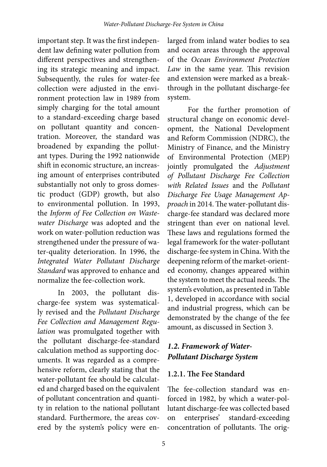important step. It was the first independent law defining water pollution from different perspectives and strengthening its strategic meaning and impact. Subsequently, the rules for water-fee collection were adjusted in the environment protection law in 1989 from simply charging for the total amount to a standard-exceeding charge based on pollutant quantity and concentration. Moreover, the standard was broadened by expanding the pollutant types. During the 1992 nationwide shift in economic structure, an increasing amount of enterprises contributed substantially not only to gross domestic product (GDP) growth, but also to environmental pollution. In 1993, the *Inform of Fee Collection on Wastewater Discharge* was adopted and the work on water-pollution reduction was strengthened under the pressure of water-quality deterioration. In 1996, the *Integrated Water Pollutant Discharge Standard* was approved to enhance and normalize the fee-collection work.

In 2003, the pollutant discharge-fee system was systematically revised and the *Pollutant Discharge Fee Collection and Management Regulation* was promulgated together with the pollutant discharge-fee-standard calculation method as supporting documents. It was regarded as a comprehensive reform, clearly stating that the water-pollutant fee should be calculated and charged based on the equivalent of pollutant concentration and quantity in relation to the national pollutant standard. Furthermore, the areas covered by the system's policy were enlarged from inland water bodies to sea and ocean areas through the approval of the *Ocean Environment Protection Law* in the same year. This revision and extension were marked as a breakthrough in the pollutant discharge-fee system.

For the further promotion of structural change on economic development, the National Development and Reform Commission (NDRC), the Ministry of Finance, and the Ministry of Environmental Protection (MEP) jointly promulgated the *Adjustment of Pollutant Discharge Fee Collection with Related Issues* and the *Pollutant Discharge Fee Usage Management Approach* in 2014. The water-pollutant discharge-fee standard was declared more stringent than ever on national level. These laws and regulations formed the legal framework for the water-pollutant discharge-fee system in China. With the deepening reform of the market-oriented economy, changes appeared within the system to meet the actual needs. The system's evolution, as presented in Table 1, developed in accordance with social and industrial progress, which can be demonstrated by the change of the fee amount, as discussed in Section 3.

# *1.2. Framework of Water-Pollutant Discharge System*

## **1.2.1. The Fee Standard**

The fee-collection standard was enforced in 1982, by which a water-pollutant discharge-fee was collected based on enterprises' standard-exceeding concentration of pollutants. The orig-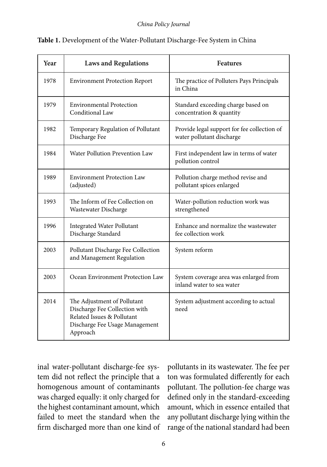#### *China Policy Journal*

| Year | <b>Laws and Regulations</b>                                                                                                              | <b>Features</b>                                                          |
|------|------------------------------------------------------------------------------------------------------------------------------------------|--------------------------------------------------------------------------|
| 1978 | <b>Environment Protection Report</b>                                                                                                     | The practice of Polluters Pays Principals<br>in China                    |
| 1979 | <b>Environmental Protection</b><br>Conditional Law                                                                                       | Standard exceeding charge based on<br>concentration & quantity           |
| 1982 | Temporary Regulation of Pollutant<br>Discharge Fee                                                                                       | Provide legal support for fee collection of<br>water pollutant discharge |
| 1984 | Water Pollution Prevention Law                                                                                                           | First independent law in terms of water<br>pollution control             |
| 1989 | <b>Environment Protection Law</b><br>(adjusted)                                                                                          | Pollution charge method revise and<br>pollutant spices enlarged          |
| 1993 | The Inform of Fee Collection on<br>Wastewater Discharge                                                                                  | Water-pollution reduction work was<br>strengthened                       |
| 1996 | <b>Integrated Water Pollutant</b><br>Discharge Standard                                                                                  | Enhance and normalize the wastewater<br>fee collection work              |
| 2003 | Pollutant Discharge Fee Collection<br>and Management Regulation                                                                          | System reform                                                            |
| 2003 | Ocean Environment Protection Law                                                                                                         | System coverage area was enlarged from<br>inland water to sea water      |
| 2014 | The Adjustment of Pollutant<br>Discharge Fee Collection with<br>Related Issues & Pollutant<br>Discharge Fee Usage Management<br>Approach | System adjustment according to actual<br>need                            |

| Table 1. Development of the Water-Pollutant Discharge-Fee System in China |
|---------------------------------------------------------------------------|
|---------------------------------------------------------------------------|

inal water-pollutant discharge-fee system did not reflect the principle that a homogenous amount of contaminants was charged equally: it only charged for the highest contaminant amount, which failed to meet the standard when the firm discharged more than one kind of pollutants in its wastewater. The fee per ton was formulated differently for each pollutant. The pollution-fee charge was defined only in the standard-exceeding amount, which in essence entailed that any pollutant discharge lying within the range of the national standard had been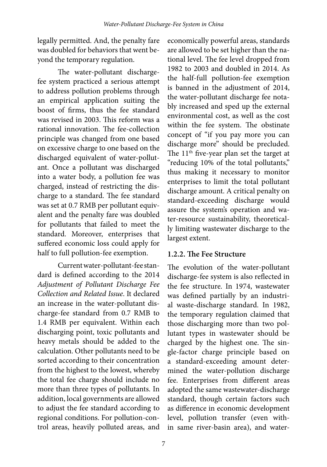legally permitted. And, the penalty fare was doubled for behaviors that went beyond the temporary regulation.

The water-pollutant dischargefee system practiced a serious attempt to address pollution problems through an empirical application suiting the boost of firms, thus the fee standard was revised in 2003. This reform was a rational innovation. The fee-collection principle was changed from one based on excessive charge to one based on the discharged equivalent of water-pollutant. Once a pollutant was discharged into a water body, a pollution fee was charged, instead of restricting the discharge to a standard. The fee standard was set at 0.7 RMB per pollutant equivalent and the penalty fare was doubled for pollutants that failed to meet the standard. Moreover, enterprises that suffered economic loss could apply for half to full pollution-fee exemption.

Current water-pollutant-fee standard is defined according to the 2014 *Adjustment of Pollutant Discharge Fee Collection and Related Issue*. It declared an increase in the water-pollutant discharge-fee standard from 0.7 RMB to 1.4 RMB per equivalent. Within each discharging point, toxic pollutants and heavy metals should be added to the calculation. Other pollutants need to be sorted according to their concentration from the highest to the lowest, whereby the total fee charge should include no more than three types of pollutants. In addition, local governments are allowed to adjust the fee standard according to regional conditions. For pollution-control areas, heavily polluted areas, and

economically powerful areas, standards are allowed to be set higher than the national level. The fee level dropped from 1982 to 2003 and doubled in 2014. As the half-full pollution-fee exemption is banned in the adjustment of 2014, the water-pollutant discharge fee notably increased and sped up the external environmental cost, as well as the cost within the fee system. The obstinate concept of "if you pay more you can discharge more" should be precluded. The  $11<sup>th</sup>$  five-year plan set the target at "reducing 10% of the total pollutants," thus making it necessary to monitor enterprises to limit the total pollutant discharge amount. A critical penalty on standard-exceeding discharge would assure the system's operation and water-resource sustainability, theoretically limiting wastewater discharge to the largest extent.

## **1.2.2. The Fee Structure**

The evolution of the water-pollutant discharge-fee system is also reflected in the fee structure. In 1974, wastewater was defined partially by an industrial waste-discharge standard. In 1982, the temporary regulation claimed that those discharging more than two pollutant types in wastewater should be charged by the highest one. The single-factor charge principle based on a standard-exceeding amount determined the water-pollution discharge fee. Enterprises from different areas adopted the same wastewater-discharge standard, though certain factors such as difference in economic development level, pollution transfer (even within same river-basin area), and water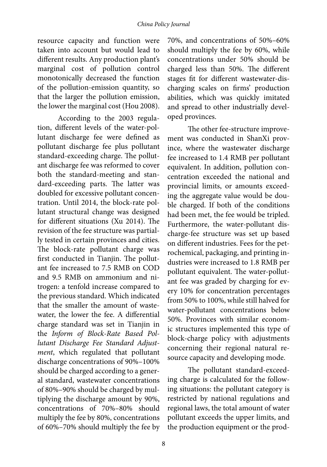resource capacity and function were taken into account but would lead to different results. Any production plant's marginal cost of pollution control monotonically decreased the function of the pollution-emission quantity, so that the larger the pollution emission, the lower the marginal cost (Hou 2008).

According to the 2003 regulation, different levels of the water-pollutant discharge fee were defined as pollutant discharge fee plus pollutant standard-exceeding charge. The pollutant discharge fee was reformed to cover both the standard-meeting and standard-exceeding parts. The latter was doubled for excessive pollutant concentration. Until 2014, the block-rate pollutant structural change was designed for different situations (Xu 2014). The revision of the fee structure was partially tested in certain provinces and cities. The block-rate pollutant charge was first conducted in Tianjin. The pollutant fee increased to 7.5 RMB on COD and 9.5 RMB on ammonium and nitrogen: a tenfold increase compared to the previous standard. Which indicated that the smaller the amount of wastewater, the lower the fee. A differential charge standard was set in Tianjin in the *Inform of Block-Rate Based Pollutant Discharge Fee Standard Adjustment*, which regulated that pollutant discharge concentrations of 90%–100% should be charged according to a general standard, wastewater concentrations of 80%–90% should be charged by multiplying the discharge amount by 90%, concentrations of 70%–80% should multiply the fee by 80%, concentrations of 60%–70% should multiply the fee by

70%, and concentrations of 50%–60% should multiply the fee by 60%, while concentrations under 50% should be charged less than 50%. The different stages fit for different wastewater-discharging scales on firms' production abilities, which was quickly imitated and spread to other industrially developed provinces.

The other fee-structure improvement was conducted in ShanXi province, where the wastewater discharge fee increased to 1.4 RMB per pollutant equivalent. In addition, pollution concentration exceeded the national and provincial limits, or amounts exceeding the aggregate value would be double charged. If both of the conditions had been met, the fee would be tripled. Furthermore, the water-pollutant discharge-fee structure was set up based on different industries. Fees for the petrochemical, packaging, and printing industries were increased to 1.8 RMB per pollutant equivalent. The water-pollutant fee was graded by charging for every 10% for concentration percentages from 50% to 100%, while still halved for water-pollutant concentrations below 50%. Provinces with similar economic structures implemented this type of block-charge policy with adjustments concerning their regional natural resource capacity and developing mode.

The pollutant standard-exceeding charge is calculated for the following situations: the pollutant category is restricted by national regulations and regional laws, the total amount of water pollutant exceeds the upper limits, and the production equipment or the prod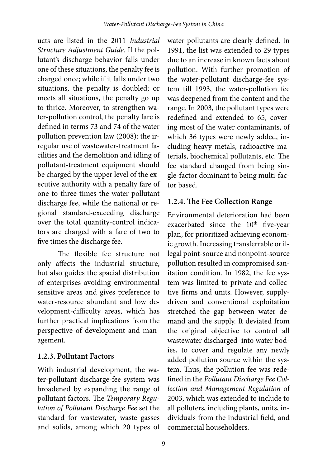ucts are listed in the 2011 *Industrial Structure Adjustment Guide*. If the pollutant's discharge behavior falls under one of these situations, the penalty fee is charged once; while if it falls under two situations, the penalty is doubled; or meets all situations, the penalty go up to thrice. Moreover, to strengthen water-pollution control, the penalty fare is defined in terms 73 and 74 of the water pollution prevention law (2008): the irregular use of wastewater-treatment facilities and the demolition and idling of pollutant-treatment equipment should be charged by the upper level of the executive authority with a penalty fare of one to three times the water-pollutant discharge fee, while the national or regional standard-exceeding discharge over the total quantity-control indicators are charged with a fare of two to five times the discharge fee.

The flexible fee structure not only affects the industrial structure, but also guides the spacial distribution of enterprises avoiding environmental sensitive areas and gives preference to water-resource abundant and low development-difficulty areas, which has further practical implications from the perspective of development and management.

## **1.2.3. Pollutant Factors**

With industrial development, the water-pollutant discharge-fee system was broadened by expanding the range of pollutant factors. The *Temporary Regulation of Pollutant Discharge Fee* set the standard for wastewater, waste gasses and solids, among which 20 types of water pollutants are clearly defined. In 1991, the list was extended to 29 types due to an increase in known facts about pollution. With further promotion of the water-pollutant discharge-fee system till 1993, the water-pollution fee was deepened from the content and the range. In 2003, the pollutant types were redefined and extended to 65, covering most of the water contaminants, of which 36 types were newly added, including heavy metals, radioactive materials, biochemical pollutants, etc. The fee standard changed from being single-factor dominant to being multi-factor based.

# **1.2.4. The Fee Collection Range**

Environmental deterioration had been exacerbated since the 10<sup>th</sup> five-year plan, for prioritized achieving economic growth. Increasing transferrable or illegal point-source and nonpoint-source pollution resulted in compromised sanitation condition. In 1982, the fee system was limited to private and collective firms and units. However, supplydriven and conventional exploitation stretched the gap between water demand and the supply. It deviated from the original objective to control all wastewater discharged into water bodies, to cover and regulate any newly added pollution source within the system. Thus, the pollution fee was redefined in the *Pollutant Discharge Fee Collection and Management Regulation* of 2003, which was extended to include to all polluters, including plants, units, individuals from the industrial field, and commercial householders.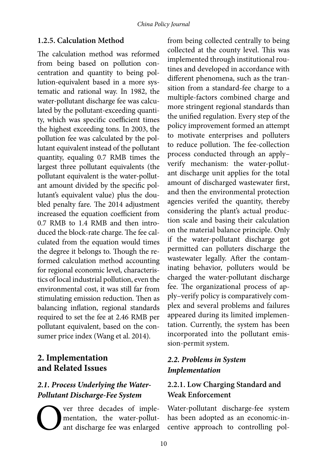#### **1.2.5. Calculation Method**

The calculation method was reformed from being based on pollution concentration and quantity to being pollution-equivalent based in a more systematic and rational way. In 1982, the water-pollutant discharge fee was calculated by the pollutant-exceeding quantity, which was specific coefficient times the highest exceeding tons. In 2003, the pollution fee was calculated by the pollutant equivalent instead of the pollutant quantity, equaling 0.7 RMB times the largest three pollutant equivalents (the pollutant equivalent is the water-pollutant amount divided by the specific pollutant's equivalent value) plus the doubled penalty fare. The 2014 adjustment increased the equation coefficient from 0.7 RMB to 1.4 RMB and then introduced the block-rate charge. The fee calculated from the equation would times the degree it belongs to. Though the reformed calculation method accounting for regional economic level, characteristics of local industrial pollution, even the environmental cost, it was still far from stimulating emission reduction. Then as balancing inflation, regional standards required to set the fee at 2.46 RMB per pollutant equivalent, based on the consumer price index (Wang et al. 2014).

# **2. Implementation and Related Issues**

# *2.1. Process Underlying the Water-Pollutant Discharge-Fee System*

ver three decades of implementation, the water-pollutant discharge fee was enlarged from being collected centrally to being collected at the county level. This was implemented through institutional routines and developed in accordance with different phenomena, such as the transition from a standard-fee charge to a multiple-factors combined charge and more stringent regional standards than the unified regulation. Every step of the policy improvement formed an attempt to motivate enterprises and polluters to reduce pollution. The fee-collection process conducted through an apply– verify mechanism: the water-pollutant discharge unit applies for the total amount of discharged wastewater first, and then the environmental protection agencies verifed the quantity, thereby considering the plant's actual production scale and basing their calculation on the material balance principle. Only if the water-pollutant discharge got permitted can polluters discharge the wastewater legally. After the contaminating behavior, polluters would be charged the water-pollutant discharge fee. The organizational process of apply–verify policy is comparatively complex and several problems and failures appeared during its limited implementation. Currently, the system has been incorporated into the pollutant emission-permit system.

### *2.2. Problems in System Implementation*

## **2.2.1. Low Charging Standard and Weak Enforcement**

Water-pollutant discharge-fee system has been adopted as an economic-incentive approach to controlling pol-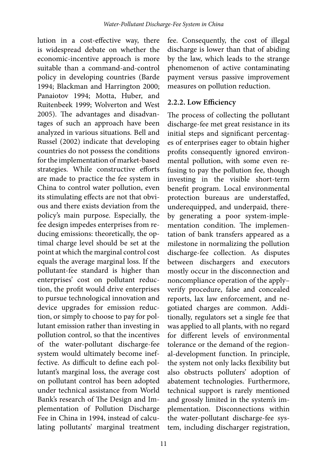lution in a cost-effective way, there is widespread debate on whether the economic-incentive approach is more suitable than a command-and-control policy in developing countries (Barde 1994; Blackman and Harrington 2000; Panaiotov 1994; Motta, Huber, and Ruitenbeek 1999; Wolverton and West 2005). The advantages and disadvantages of such an approach have been analyzed in various situations. Bell and Russel (2002) indicate that developing countries do not possess the conditions for the implementation of market-based strategies. While constructive efforts are made to practice the fee system in China to control water pollution, even its stimulating effects are not that obvious and there exists deviation from the policy's main purpose. Especially, the fee design impedes enterprises from reducing emissions: theoretically, the optimal charge level should be set at the point at which the marginal control cost equals the average marginal loss. If the pollutant-fee standard is higher than enterprises' cost on pollutant reduction, the profit would drive enterprises to pursue technological innovation and device upgrades for emission reduction, or simply to choose to pay for pollutant emission rather than investing in pollution control, so that the incentives of the water-pollutant discharge-fee system would ultimately become ineffective. As difficult to define each pollutant's marginal loss, the average cost on pollutant control has been adopted under technical assistance from World Bank's research of The Design and Implementation of Pollution Discharge Fee in China in 1994, instead of calculating pollutants' marginal treatment

fee. Consequently, the cost of illegal discharge is lower than that of abiding by the law, which leads to the strange phenomenon of active contaminating payment versus passive improvement measures on pollution reduction.

#### **2.2.2. Low Efficiency**

The process of collecting the pollutant discharge-fee met great resistance in its initial steps and significant percentages of enterprises eager to obtain higher profits consequently ignored environmental pollution, with some even refusing to pay the pollution fee, though investing in the visible short-term benefit program. Local environmental protection bureaus are understaffed, underequipped, and underpaid, thereby generating a poor system-implementation condition. The implementation of bank transfers appeared as a milestone in normalizing the pollution discharge-fee collection. As disputes between dischargers and executors mostly occur in the disconnection and noncompliance operation of the apply– verify procedure, false and concealed reports, lax law enforcement, and negotiated charges are common. Additionally, regulators set a single fee that was applied to all plants, with no regard for different levels of environmental tolerance or the demand of the regional-development function. In principle, the system not only lacks flexibility but also obstructs polluters' adoption of abatement technologies. Furthermore, technical support is rarely mentioned and grossly limited in the system's implementation. Disconnections within the water-pollutant discharge-fee system, including discharger registration,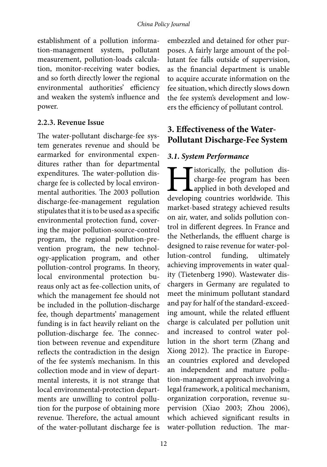establishment of a pollution information-management system, pollutant measurement, pollution-loads calculation, monitor-receiving water bodies, and so forth directly lower the regional environmental authorities' efficiency and weaken the system's influence and power.

#### **2.2.3. Revenue Issue**

The water-pollutant discharge-fee system generates revenue and should be earmarked for environmental expenditures rather than for departmental expenditures. The water-pollution discharge fee is collected by local environmental authorities. The 2003 pollution discharge-fee-management regulation stipulates that it is to be used as a specific environmental protection fund, covering the major pollution-source-control program, the regional pollution-prevention program, the new technology-application program, and other pollution-control programs. In theory, local environmental protection bureaus only act as fee-collection units, of which the management fee should not be included in the pollution-discharge fee, though departments' management funding is in fact heavily reliant on the pollution-discharge fee. The connection between revenue and expenditure reflects the contradiction in the design of the fee system's mechanism. In this collection mode and in view of departmental interests, it is not strange that local environmental-protection departments are unwilling to control pollution for the purpose of obtaining more revenue. Therefore, the actual amount of the water-pollutant discharge fee is

embezzled and detained for other purposes. A fairly large amount of the pollutant fee falls outside of supervision, as the financial department is unable to acquire accurate information on the fee situation, which directly slows down the fee system's development and lowers the efficiency of pollutant control.

# **3. Effectiveness of the Water-Pollutant Discharge-Fee System**

#### *3.1. System Performance*

Internative the pollution discussed the pollution discussed and developing countries worldwide. This charge-fee program has been applied in both developed and developing countries worldwide. This market-based strategy achieved results on air, water, and solids pollution control in different degrees. In France and the Netherlands, the effluent charge is designed to raise revenue for water-pollution-control funding, ultimately achieving improvements in water quality (Tietenberg 1990). Wastewater dischargers in Germany are regulated to meet the minimum pollutant standard and pay for half of the standard-exceeding amount, while the related effluent charge is calculated per pollution unit and increased to control water pollution in the short term (Zhang and Xiong 2012). The practice in European countries explored and developed an independent and mature pollution-management approach involving a legal framework, a political mechanism, organization corporation, revenue supervision (Xiao 2003; Zhou 2006), which achieved significant results in water-pollution reduction. The mar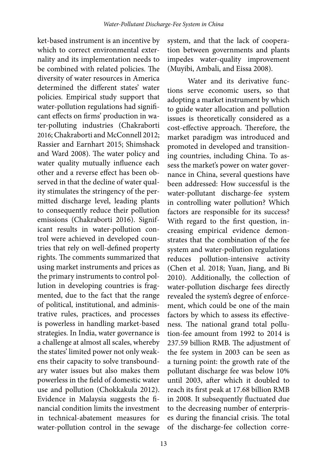ket-based instrument is an incentive by which to correct environmental externality and its implementation needs to be combined with related policies. The diversity of water resources in America determined the different states' water policies. Empirical study support that water-pollution regulations had significant effects on firms' production in water-polluting industries (Chakraborti 2016; Chakraborti and McConnell 2012; Rassier and Earnhart 2015; Shimshack and Ward 2008). The water policy and water quality mutually influence each other and a reverse effect has been observed in that the decline of water quality stimulates the stringency of the permitted discharge level, leading plants to consequently reduce their pollution emissions (Chakraborti 2016). Significant results in water-pollution control were achieved in developed countries that rely on well-defined property rights. The comments summarized that using market instruments and prices as the primary instruments to control pollution in developing countries is fragmented, due to the fact that the range of political, institutional, and administrative rules, practices, and processes is powerless in handling market-based strategies. In India, water governance is a challenge at almost all scales, whereby the states' limited power not only weakens their capacity to solve transboundary water issues but also makes them powerless in the field of domestic water use and pollution (Chokkakula 2012). Evidence in Malaysia suggests the financial condition limits the investment in technical-abatement measures for water-pollution control in the sewage

system, and that the lack of cooperation between governments and plants impedes water-quality improvement (Muyibi, Ambali, and Eissa 2008).

Water and its derivative functions serve economic users, so that adopting a market instrument by which to guide water allocation and pollution issues is theoretically considered as a cost-effective approach. Therefore, the market paradigm was introduced and promoted in developed and transitioning countries, including China. To assess the market's power on water governance in China, several questions have been addressed: How successful is the water-pollutant discharge-fee system in controlling water pollution? Which factors are responsible for its success? With regard to the first question, increasing empirical evidence demonstrates that the combination of the fee system and water-pollution regulations reduces pollution-intensive activity (Chen et al. 2018; Yuan, Jiang, and Bi 2010). Additionally, the collection of water-pollution discharge fees directly revealed the system's degree of enforcement, which could be one of the main factors by which to assess its effectiveness. The national grand total pollution-fee amount from 1992 to 2014 is 237.59 billion RMB. The adjustment of the fee system in 2003 can be seen as a turning point: the growth rate of the pollutant discharge fee was below 10% until 2003, after which it doubled to reach its first peak at 17.68 billion RMB in 2008. It subsequently fluctuated due to the decreasing number of enterprises during the financial crisis. The total of the discharge-fee collection corre-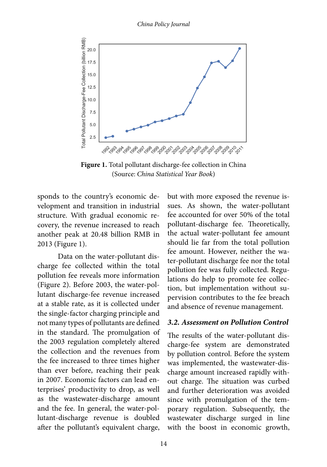*China Policy Journal*



**Figure 1.** Total pollutant discharge-fee collection in China (Source: *China Statistical Year Book*)

sponds to the country's economic development and transition in industrial structure. With gradual economic recovery, the revenue increased to reach another peak at 20.48 billion RMB in 2013 (Figure 1).

Data on the water-pollutant discharge fee collected within the total pollution fee reveals more information (Figure 2). Before 2003, the water-pollutant discharge-fee revenue increased at a stable rate, as it is collected under the single-factor charging principle and not many types of pollutants are defined in the standard. The promulgation of the 2003 regulation completely altered the collection and the revenues from the fee increased to three times higher than ever before, reaching their peak in 2007. Economic factors can lead enterprises' productivity to drop, as well as the wastewater-discharge amount and the fee. In general, the water-pollutant-discharge revenue is doubled after the pollutant's equivalent charge,

but with more exposed the revenue issues. As shown, the water-pollutant fee accounted for over 50% of the total pollutant-discharge fee. Theoretically, the actual water-pollutant fee amount should lie far from the total pollution fee amount. However, neither the water-pollutant discharge fee nor the total pollution fee was fully collected. Regulations do help to promote fee collection, but implementation without supervision contributes to the fee breach and absence of revenue management.

#### *3.2. Assessment on Pollution Control*

The results of the water-pollutant discharge-fee system are demonstrated by pollution control. Before the system was implemented, the wastewater-discharge amount increased rapidly without charge. The situation was curbed and further deterioration was avoided since with promulgation of the temporary regulation. Subsequently, the wastewater discharge surged in line with the boost in economic growth,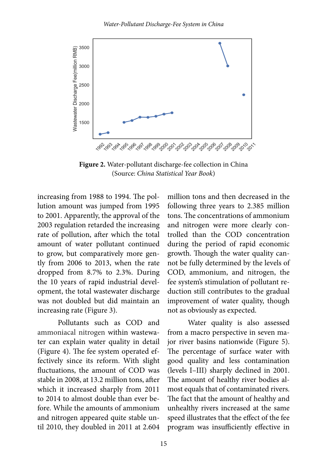

**Figure 2.** Water-pollutant discharge-fee collection in China (Source: *China Statistical Year Book*)

increasing from 1988 to 1994. The pollution amount was jumped from 1995 to 2001. Apparently, the approval of the 2003 regulation retarded the increasing rate of pollution, after which the total amount of water pollutant continued to grow, but comparatively more gently from 2006 to 2013, when the rate dropped from 8.7% to 2.3%. During the 10 years of rapid industrial development, the total wastewater discharge was not doubled but did maintain an increasing rate (Figure 3).

Pollutants such as COD and ammoniacal nitrogen within wastewater can explain water quality in detail (Figure 4). The fee system operated effectively since its reform. With slight fluctuations, the amount of COD was stable in 2008, at 13.2 million tons, after which it increased sharply from 2011 to 2014 to almost double than ever before. While the amounts of ammonium and nitrogen appeared quite stable until 2010, they doubled in 2011 at 2.604

million tons and then decreased in the following three years to 2.385 million tons. The concentrations of ammonium and nitrogen were more clearly controlled than the COD concentration during the period of rapid economic growth. Though the water quality cannot be fully determined by the levels of COD, ammonium, and nitrogen, the fee system's stimulation of pollutant reduction still contributes to the gradual improvement of water quality, though not as obviously as expected.

Water quality is also assessed from a macro perspective in seven major river basins nationwide (Figure 5). The percentage of surface water with good quality and less contamination (levels I–III) sharply declined in 2001. The amount of healthy river bodies almost equals that of contaminated rivers. The fact that the amount of healthy and unhealthy rivers increased at the same speed illustrates that the effect of the fee program was insufficiently effective in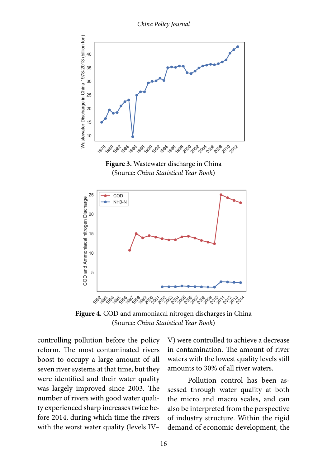*China Policy Journal*



**Figure 3.** Wastewater discharge in China (Source: *China Statistical Year Book*)



**Figure 4.** COD and ammoniacal nitrogen discharges in China (Source: *China Statistical Year Book*)

controlling pollution before the policy reform. The most contaminated rivers boost to occupy a large amount of all seven river systems at that time, but they were identified and their water quality was largely improved since 2003. The number of rivers with good water quality experienced sharp increases twice before 2014, during which time the rivers with the worst water quality (levels IV–

V) were controlled to achieve a decrease in contamination. The amount of river waters with the lowest quality levels still amounts to 30% of all river waters.

Pollution control has been assessed through water quality at both the micro and macro scales, and can also be interpreted from the perspective of industry structure. Within the rigid demand of economic development, the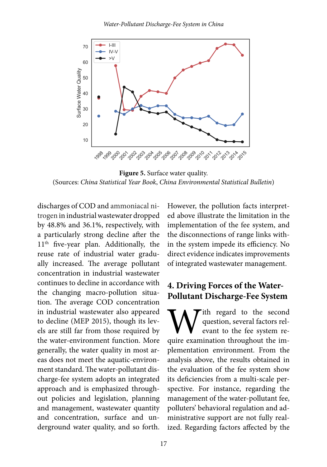

**Figure 5.** Surface water quality. (Sources: *China Statistical Year Book*, *China Environmental Statistical Bulletin*)

discharges of COD and ammoniacal nitrogen in industrial wastewater dropped by 48.8% and 36.1%, respectively, with a particularly strong decline after the 11<sup>th</sup> five-year plan. Additionally, the reuse rate of industrial water gradually increased. The average pollutant concentration in industrial wastewater continues to decline in accordance with the changing macro-pollution situation. The average COD concentration in industrial wastewater also appeared to decline (MEP 2015), though its levels are still far from those required by the water-environment function. More generally, the water quality in most areas does not meet the aquatic-environment standard. The water-pollutant discharge-fee system adopts an integrated approach and is emphasized throughout policies and legislation, planning and management, wastewater quantity and concentration, surface and underground water quality, and so forth. However, the pollution facts interpreted above illustrate the limitation in the implementation of the fee system, and the disconnections of range links within the system impede its efficiency. No direct evidence indicates improvements of integrated wastewater management.

# **4. Driving Forces of the Water-Pollutant Discharge-Fee System**

With regard to the second question, several factors relevant to the fee system require examination throughout the imquestion, several factors relevant to the fee system replementation environment. From the analysis above, the results obtained in the evaluation of the fee system show its deficiencies from a multi-scale perspective. For instance, regarding the management of the water-pollutant fee, polluters' behavioral regulation and administrative support are not fully realized. Regarding factors affected by the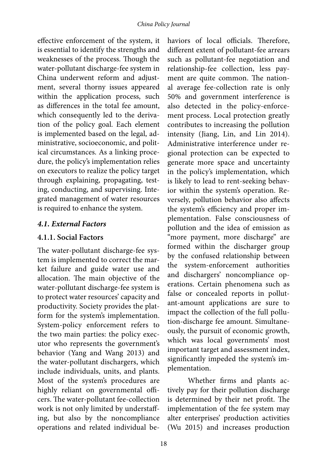effective enforcement of the system, it is essential to identify the strengths and weaknesses of the process. Though the water-pollutant discharge-fee system in China underwent reform and adjustment, several thorny issues appeared within the application process, such as differences in the total fee amount, which consequently led to the derivation of the policy goal. Each element is implemented based on the legal, administrative, socioeconomic, and political circumstances. As a linking procedure, the policy's implementation relies on executors to realize the policy target through explaining, propagating, testing, conducting, and supervising. Integrated management of water resources is required to enhance the system.

#### *4.1. External Factors*

#### **4.1.1. Social Factors**

The water-pollutant discharge-fee system is implemented to correct the market failure and guide water use and allocation. The main objective of the water-pollutant discharge-fee system is to protect water resources' capacity and productivity. Society provides the platform for the system's implementation. System-policy enforcement refers to the two main parties: the policy executor who represents the government's behavior (Yang and Wang 2013) and the water-pollutant dischargers, which include individuals, units, and plants. Most of the system's procedures are highly reliant on governmental officers. The water-pollutant fee-collection work is not only limited by understaffing, but also by the noncompliance operations and related individual be-

haviors of local officials. Therefore, different extent of pollutant-fee arrears such as pollutant-fee negotiation and relationship-fee collection, less payment are quite common. The national average fee-collection rate is only 50% and government interference is also detected in the policy-enforcement process. Local protection greatly contributes to increasing the pollution intensity (Jiang, Lin, and Lin 2014). Administrative interference under regional protection can be expected to generate more space and uncertainty in the policy's implementation, which is likely to lead to rent-seeking behavior within the system's operation. Reversely, pollution behavior also affects the system's efficiency and proper implementation. False consciousness of pollution and the idea of emission as "more payment, more discharge" are formed within the discharger group by the confused relationship between the system-enforcement authorities and dischargers' noncompliance operations. Certain phenomena such as false or concealed reports in pollutant-amount applications are sure to impact the collection of the full pollution-discharge fee amount. Simultaneously, the pursuit of economic growth, which was local governments' most important target and assessment index, significantly impeded the system's implementation.

Whether firms and plants actively pay for their pollution discharge is determined by their net profit. The implementation of the fee system may alter enterprises' production activities (Wu 2015) and increases production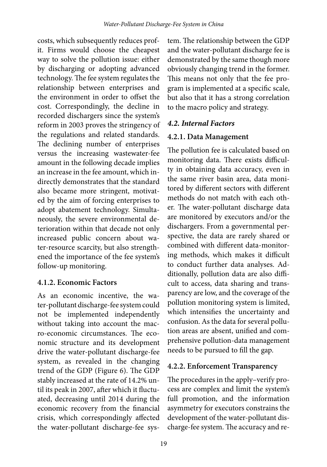costs, which subsequently reduces profit. Firms would choose the cheapest way to solve the pollution issue: either by discharging or adopting advanced technology. The fee system regulates the relationship between enterprises and the environment in order to offset the cost. Correspondingly, the decline in recorded dischargers since the system's reform in 2003 proves the stringency of the regulations and related standards. The declining number of enterprises versus the increasing wastewater-fee amount in the following decade implies an increase in the fee amount, which indirectly demonstrates that the standard also became more stringent, motivated by the aim of forcing enterprises to adopt abatement technology. Simultaneously, the severe environmental deterioration within that decade not only increased public concern about water-resource scarcity, but also strengthened the importance of the fee system's follow-up monitoring.

#### **4.1.2. Economic Factors**

As an economic incentive, the water-pollutant discharge-fee system could not be implemented independently without taking into account the macro-economic circumstances. The economic structure and its development drive the water-pollutant discharge-fee system, as revealed in the changing trend of the GDP (Figure 6). The GDP stably increased at the rate of 14.2% until its peak in 2007, after which it fluctuated, decreasing until 2014 during the economic recovery from the financial crisis, which correspondingly affected the water-pollutant discharge-fee sys-

tem. The relationship between the GDP and the water-pollutant discharge fee is demonstrated by the same though more obviously changing trend in the former. This means not only that the fee program is implemented at a specific scale, but also that it has a strong correlation to the macro policy and strategy.

### *4.2. Internal Factors*

### **4.2.1. Data Management**

The pollution fee is calculated based on monitoring data. There exists difficulty in obtaining data accuracy, even in the same river basin area, data monitored by different sectors with different methods do not match with each other. The water-pollutant discharge data are monitored by executors and/or the dischargers. From a governmental perspective, the data are rarely shared or combined with different data-monitoring methods, which makes it difficult to conduct further data analyses. Additionally, pollution data are also difficult to access, data sharing and transparency are low, and the coverage of the pollution monitoring system is limited, which intensifies the uncertainty and confusion. As the data for several pollution areas are absent, unified and comprehensive pollution-data management needs to be pursued to fill the gap.

## **4.2.2. Enforcement Transparency**

The procedures in the apply–verify process are complex and limit the system's full promotion, and the information asymmetry for executors constrains the development of the water-pollutant discharge-fee system. The accuracy and re-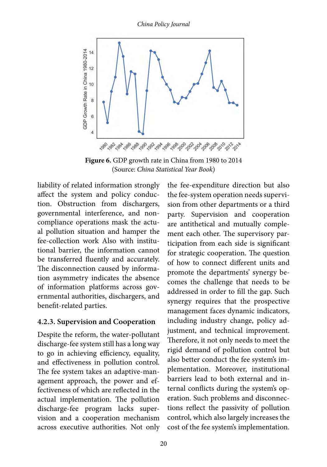*China Policy Journal*



**Figure 6.** GDP growth rate in China from 1980 to 2014 (Source: *China Statistical Year Book*)

liability of related information strongly affect the system and policy conduction. Obstruction from dischargers, governmental interference, and noncompliance operations mask the actual pollution situation and hamper the fee-collection work Also with institutional barrier, the information cannot be transferred fluently and accurately. The disconnection caused by information asymmetry indicates the absence of information platforms across governmental authorities, dischargers, and benefit-related parties.

#### **4.2.3. Supervision and Cooperation**

Despite the reform, the water-pollutant discharge-fee system still has a long way to go in achieving efficiency, equality, and effectiveness in pollution control. The fee system takes an adaptive-management approach, the power and effectiveness of which are reflected in the actual implementation. The pollution discharge-fee program lacks supervision and a cooperation mechanism across executive authorities. Not only the fee-expenditure direction but also the fee-system operation needs supervision from other departments or a third party. Supervision and cooperation are antithetical and mutually complement each other. The supervisory participation from each side is significant for strategic cooperation. The question of how to connect different units and promote the departments' synergy becomes the challenge that needs to be addressed in order to fill the gap. Such synergy requires that the prospective management faces dynamic indicators, including industry change, policy adjustment, and technical improvement. Therefore, it not only needs to meet the rigid demand of pollution control but also better conduct the fee system's implementation. Moreover, institutional barriers lead to both external and internal conflicts during the system's operation. Such problems and disconnections reflect the passivity of pollution control, which also largely increases the cost of the fee system's implementation.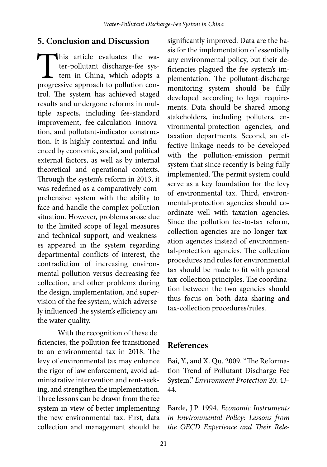## **5. Conclusion and Discussion**

This article evaluates the wa-<br>ter-pollutant discharge-fee sys-<br>tem in China, which adopts a<br>progressive approach to pollution conter-pollutant discharge-fee system in China, which adopts a progressive approach to pollution control. The system has achieved staged results and undergone reforms in multiple aspects, including fee-standard improvement, fee-calculation innovation, and pollutant-indicator construction. It is highly contextual and influenced by economic, social, and political external factors, as well as by internal theoretical and operational contexts. Through the system's reform in 2013, it was redefined as a comparatively comprehensive system with the ability to face and handle the complex pollution situation. However, problems arose due to the limited scope of legal measures and technical support, and weaknesses appeared in the system regarding departmental conflicts of interest, the contradiction of increasing environmental pollution versus decreasing fee collection, and other problems during the design, implementation, and supervision of the fee system, which adversely influenced the system's efficiency and the water quality.

With the recognition of these deficiencies, the pollution fee transitioned to an environmental tax in 2018. The levy of environmental tax may enhance the rigor of law enforcement, avoid administrative intervention and rent-seeking, and strengthen the implementation. Three lessons can be drawn from the fee system in view of better implementing the new environmental tax. First, data collection and management should be

significantly improved. Data are the basis for the implementation of essentially any environmental policy, but their deficiencies plagued the fee system's implementation. The pollutant-discharge monitoring system should be fully developed according to legal requirements. Data should be shared among stakeholders, including polluters, environmental-protection agencies, and taxation departments. Second, an effective linkage needs to be developed with the pollution-emission permit system that since recently is being fully implemented. The permit system could serve as a key foundation for the levy of environmental tax. Third, environmental-protection agencies should coordinate well with taxation agencies. Since the pollution fee-to-tax reform, collection agencies are no longer taxation agencies instead of environmental-protection agencies. The collection procedures and rules for environmental tax should be made to fit with general tax-collection principles. The coordination between the two agencies should thus focus on both data sharing and tax-collection procedures/rules.

## **References**

Bai, Y., and X. Qu. 2009. "The Reformation Trend of Pollutant Discharge Fee System." *Environment Protection* 20: 43- 44.

Barde, J.P. 1994. *Economic Instruments in Environmental Policy: Lessons from the OECD Experience and Their Rele-*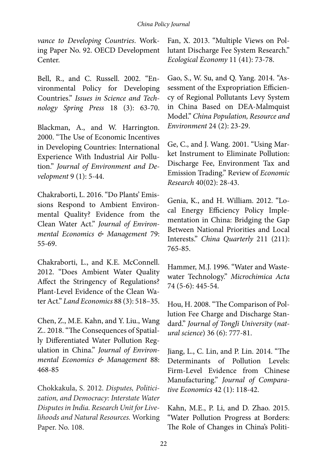*vance to Developing Countries*. Working Paper No. 92. OECD Development Center.

Bell, R., and C. Russell. 2002. "Environmental Policy for Developing Countries." *Issues in Science and Technology Spring Press* 18 (3): 63-70.

Blackman, A., and W. Harrington. 2000. "The Use of Economic Incentives in Developing Countries: International Experience With Industrial Air Pollution." *Journal of Environment and Development* 9 (1): 5-44.

Chakraborti, L. 2016. "Do Plants' Emissions Respond to Ambient Environmental Quality? Evidence from the Clean Water Act." *Journal of Environmental Economics & Management* 79: 55-69.

Chakraborti, L., and K.E. McConnell. 2012. "Does Ambient Water Quality Affect the Stringency of Regulations? Plant-Level Evidence of the Clean Water Act." *Land Economics* 88 (3): 518–35.

Chen, Z., M.E. Kahn, and Y. Liu., Wang Z.. 2018. "The Consequences of Spatially Differentiated Water Pollution Regulation in China." *Journal of Environmental Economics & Management* 88: 468-85

Chokkakula, S. 2012. *Disputes, Politicization, and Democracy: Interstate Water Disputes in India. Research Unit for Livelihoods and Natural Resources.* Working Paper. No. 108.

Fan, X. 2013. "Multiple Views on Pollutant Discharge Fee System Research." *Ecological Economy* 11 (41): 73-78.

Gao, S., W. Su, and Q. Yang. 2014. "Assessment of the Expropriation Efficiency of Regional Pollutants Levy System in China Based on DEA-Malmquist Model." *China Population, Resource and Environment* 24 (2): 23-29.

Ge, C., and J. Wang. 2001. "Using Market Instrument to Eliminate Pollution: Discharge Fee, Environment Tax and Emission Trading." Review of *Economic Research* 40(02): 28-43.

Genia, K., and H. William. 2012. "Local Energy Efficiency Policy Implementation in China: Bridging the Gap Between National Priorities and Local Interests." *China Quarterly* 211 (211): 765-85.

Hammer, M.J. 1996. "Water and Wastewater Technology." *Microchimica Acta* 74 (5-6): 445-54.

Hou, H. 2008. "The Comparison of Pollution Fee Charge and Discharge Standard." *Journal of TongJi University* (*natural science*) 36 (6): 777-81.

Jiang, L., C. Lin, and P. Lin. 2014. "The Determinants of Pollution Levels: Firm-Level Evidence from Chinese Manufacturing." *Journal of Comparative Economics* 42 (1): 118-42.

Kahn, M.E., P. Li, and D. Zhao. 2015. "Water Pollution Progress at Borders: The Role of Changes in China's Politi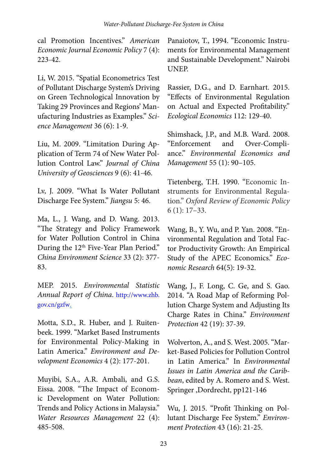cal Promotion Incentives." *American Economic Journal Economic Policy* 7 (4): 223-42.

Li, W. 2015. "Spatial Econometrics Test of Pollutant Discharge System's Driving on Green Technological Innovation by Taking 29 Provinces and Regions' Manufacturing Industries as Examples." *Science Management* 36 (6): 1-9.

Liu, M. 2009. "Limitation During Application of Term 74 of New Water Pollution Control Law." *Journal of China University of Geosciences* 9 (6): 41-46.

Lv, J. 2009. "What Is Water Pollutant Discharge Fee System." *Jiangsu* 5: 46.

Ma, L., J. Wang, and D. Wang. 2013. "The Strategy and Policy Framework for Water Pollution Control in China During the 12<sup>th</sup> Five-Year Plan Period." *China Environment Science* 33 (2): 377- 83.

MEP. 2015. *Environmental Statistic Annual Report of China*. [http://www.zhb.](http://www.zhb.gov.cn/gzfw) [gov.cn/gzfw](http://www.zhb.gov.cn/gzfw).

Motta, S.D., R. Huber, and J. Ruitenbeek. 1999. "Market Based Instruments for Environmental Policy-Making in Latin America." *Environment and Development Economics* 4 (2): 177-201.

Muyibi, S.A., A.R. Ambali, and G.S. Eissa. 2008. "The Impact of Economic Development on Water Pollution: Trends and Policy Actions in Malaysia." *Water Resources Management* 22 (4): 485-508.

Panaiotov, T., 1994. "Economic Instruments for Environmental Management and Sustainable Development." Nairobi UNEP.

Rassier, D.G., and D. Earnhart. 2015. "Effects of Environmental Regulation on Actual and Expected Profitability." *Ecological Economics* 112: 129-40.

Shimshack, J.P., and M.B. Ward. 2008. "Enforcement and Over-Compliance." *Environmental Economics and Management* 55 (1): 90–105.

Tietenberg, T.H. 1990. "Economic Instruments for Environmental Regulation." *Oxford Review of Economic Policy* 6 (1): 17–33.

Wang, B., Y. Wu, and P. Yan. 2008. "Environmental Regulation and Total Factor Productivity Growth: An Empirical Study of the APEC Economics." *Economic Research* 64(5): 19-32.

Wang, J., F. Long, C. Ge, and S. Gao. 2014. "A Road Map of Reforming Pollution Charge System and Adjusting Its Charge Rates in China." *Environment Protection* 42 (19): 37-39.

Wolverton, A., and S. West. 2005. "Market-Based Policies for Pollution Control in Latin America." In *Environmental Issues in Latin America and the Caribbean*, edited by A. Romero and S. West. Springer ,Dordrecht, pp121-146

Wu, J. 2015. "Profit Thinking on Pollutant Discharge Fee System." *Environment Protection* 43 (16): 21-25.